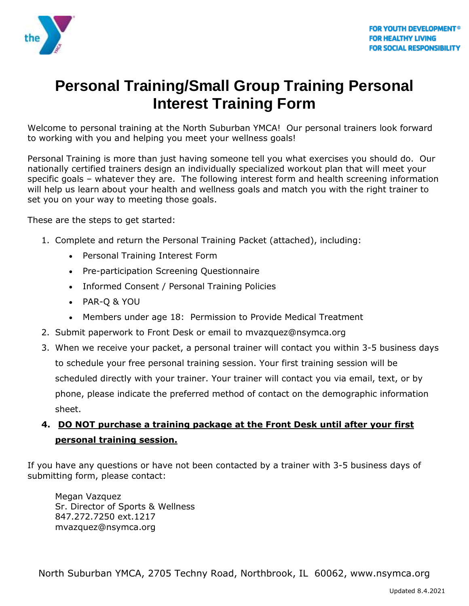

# **Personal Training/Small Group Training Personal Interest Training Form**

Welcome to personal training at the North Suburban YMCA! Our personal trainers look forward to working with you and helping you meet your wellness goals!

Personal Training is more than just having someone tell you what exercises you should do. Our nationally certified trainers design an individually specialized workout plan that will meet your specific goals – whatever they are. The following interest form and health screening information will help us learn about your health and wellness goals and match you with the right trainer to set you on your way to meeting those goals.

These are the steps to get started:

- 1. Complete and return the Personal Training Packet (attached), including:
	- Personal Training Interest Form
	- Pre-participation Screening Questionnaire
	- Informed Consent / Personal Training Policies
	- PAR-Q & YOU
	- Members under age 18: Permission to Provide Medical Treatment
- 2. Submit paperwork to Front Desk or email to mvazquez@nsymca.org
- 3. When we receive your packet, a personal trainer will contact you within 3-5 business days to schedule your free personal training session. Your first training session will be scheduled directly with your trainer. Your trainer will contact you via email, text, or by phone, please indicate the preferred method of contact on the demographic information sheet.

### **4. DO NOT purchase a training package at the Front Desk until after your first personal training session.**

If you have any questions or have not been contacted by a trainer with 3-5 business days of submitting form, please contact:

Megan Vazquez Sr. Director of Sports & Wellness 847.272.7250 ext.1217 mvazquez@nsymca.org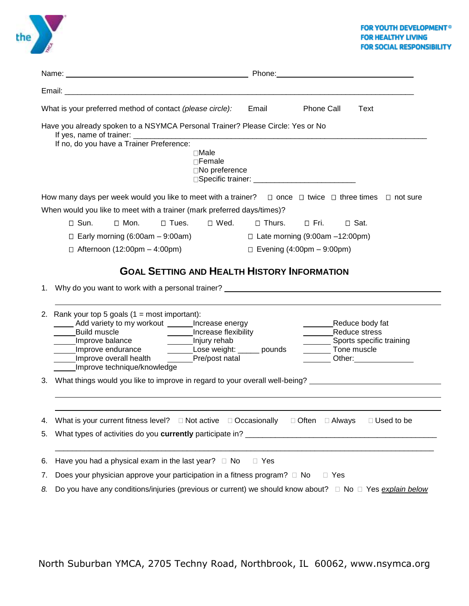

| What is your preferred method of contact (please circle):                                                                                                                                                                                                                        | Email<br><b>Phone Call</b><br>Text                                                                       |  |  |  |  |  |  |
|----------------------------------------------------------------------------------------------------------------------------------------------------------------------------------------------------------------------------------------------------------------------------------|----------------------------------------------------------------------------------------------------------|--|--|--|--|--|--|
| Have you already spoken to a NSYMCA Personal Trainer? Please Circle: Yes or No<br>If no, do you have a Trainer Preference:<br>$\Box$ Male<br>$\Box$ Female<br>□No preference                                                                                                     |                                                                                                          |  |  |  |  |  |  |
| How many days per week would you like to meet with a trainer? $\Box$ once $\Box$ twice $\Box$ three times $\Box$ not sure                                                                                                                                                        |                                                                                                          |  |  |  |  |  |  |
| When would you like to meet with a trainer (mark preferred days/times)?                                                                                                                                                                                                          |                                                                                                          |  |  |  |  |  |  |
| ⊓ Sun.<br>$\square$ Mon.                                                                                                                                                                                                                                                         | □ Tues. □ Wed. □ Thurs. □ Fri. □ Sat.                                                                    |  |  |  |  |  |  |
| □ Early morning (6:00am – 9:00am) □ Late morning (9:00am –12:00pm)                                                                                                                                                                                                               |                                                                                                          |  |  |  |  |  |  |
| $\Box$ Afternoon (12:00pm - 4:00pm)                                                                                                                                                                                                                                              | $\Box$ Evening (4:00pm - 9:00pm)                                                                         |  |  |  |  |  |  |
| Why do you want to work with a personal trainer? _______________________________<br>1.<br>2. Rank your top 5 goals $(1 = \text{most important})$ :                                                                                                                               |                                                                                                          |  |  |  |  |  |  |
| Add variety to my workout ______Increase energy<br><b>Build muscle</b><br>________Increase flexibility<br>Improve balance<br>_________ Injury rehab<br>Improve endurance<br>Lose weight: _____ pounds<br>Improve overall health<br>Pre/post natal<br>Improve technique/knowledge | Reduce body fat<br>Reduce stress<br>Sports specific training<br>Tone muscle                              |  |  |  |  |  |  |
| 3. What things would you like to improve in regard to your overall well-being? _____________________                                                                                                                                                                             |                                                                                                          |  |  |  |  |  |  |
| What is your current fitness level? $\Box$ Not active $\Box$ Occasionally<br>4.                                                                                                                                                                                                  | $\Box$ Often $\Box$ Always<br>$\Box$ Used to be                                                          |  |  |  |  |  |  |
| 5.                                                                                                                                                                                                                                                                               |                                                                                                          |  |  |  |  |  |  |
| Have you had a physical exam in the last year? $\Box$ No<br>6.                                                                                                                                                                                                                   | $\Box$ Yes                                                                                               |  |  |  |  |  |  |
| Does your physician approve your participation in a fitness program? $\Box$ No<br>7.                                                                                                                                                                                             | $\Box$ Yes                                                                                               |  |  |  |  |  |  |
| 8.                                                                                                                                                                                                                                                                               | Do you have any conditions/injuries (previous or current) we should know about? □ No □ Yes explain below |  |  |  |  |  |  |

the  $\sum_{\mathcal{B}}$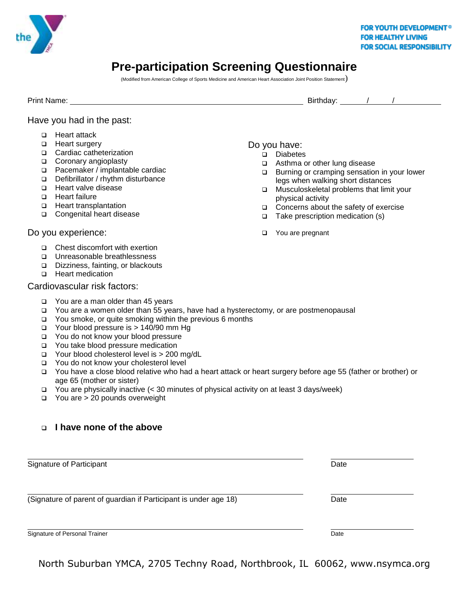

### **Pre-participation Screening Questionnaire**

(Modified from American College of Sports Medicine and American Heart Association Joint Position Statement)

Print Name:  $\sqrt{a}$  /  $\sqrt{b}$  /  $\sqrt{b}$  /  $\sqrt{b}$  /  $\sqrt{b}$  /  $\sqrt{b}$  /  $\sqrt{b}$  /  $\sqrt{b}$  /  $\sqrt{b}$  /  $\sqrt{b}$  /  $\sqrt{b}$  /  $\sqrt{b}$  /  $\sqrt{b}$  /  $\sqrt{b}$  /  $\sqrt{b}$  /  $\sqrt{b}$  /  $\sqrt{b}$  /  $\sqrt{b}$  /  $\sqrt{b}$  /  $\sqrt{b}$  /  $\sqrt{b}$  /

### Have you had in the past:

- ❑ Heart attack
- ❑ Heart surgery
- ❑ Cardiac catheterization
- ❑ Coronary angioplasty
- ❑ Pacemaker / implantable cardiac
- ❑ Defibrillator / rhythm disturbance
- ❑ Heart valve disease
- ❑ Heart failure
- ❑ Heart transplantation
- ❑ Congenital heart disease

#### Do you experience:

- ❑ Chest discomfort with exertion
- ❑ Unreasonable breathlessness
- ❑ Dizziness, fainting, or blackouts
- ❑ Heart medication

#### Cardiovascular risk factors:

- ❑ You are a man older than 45 years
- ❑ You are a women older than 55 years, have had a hysterectomy, or are postmenopausal
- ❑ You smoke, or quite smoking within the previous 6 months
- ❑ Your blood pressure is > 140/90 mm Hg
- ❑ You do not know your blood pressure
- ❑ You take blood pressure medication
- ❑ Your blood cholesterol level is > 200 mg/dL
- ❑ You do not know your cholesterol level
- ❑ You have a close blood relative who had a heart attack or heart surgery before age 55 (father or brother) or age 65 (mother or sister)
- ❑ You are physically inactive (< 30 minutes of physical activity on at least 3 days/week)
- ❑ You are > 20 pounds overweight

### ❑ **I have none of the above**

Signature of Participant Date of Participant Date of Participant Date of Participant Date of Participant Date

(Signature of parent of guardian if Participant is under age 18) The Contract of the Date

Signature of Personal Trainer **Date Date Date Date Date Date Date Date Date Date Date Date Date Date Date Date Date Date Date Date Date Date Date Date Date Date Date Da** 

North Suburban YMCA, 2705 Techny Road, Northbrook, IL 60062, www.nsymca.org

### Do you have:

- ❑ Diabetes
- ❑ Asthma or other lung disease
- ❑ Burning or cramping sensation in your lower legs when walking short distances
- ❑ Musculoskeletal problems that limit your physical activity
- ❑ Concerns about the safety of exercise
- ❑ Take prescription medication (s)
- ❑ You are pregnant

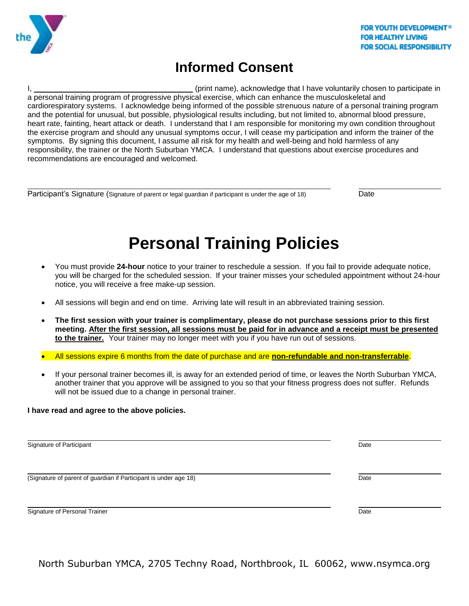

### **Informed Consent**

I, the same of the state of the state of print name), acknowledge that I have voluntarily chosen to participate in a personal training program of progressive physical exercise, which can enhance the musculoskeletal and cardiorespiratory systems. I acknowledge being informed of the possible strenuous nature of a personal training program and the potential for unusual, but possible, physiological results including, but not limited to, abnormal blood pressure, heart rate, fainting, heart attack or death. I understand that I am responsible for monitoring my own condition throughout the exercise program and should any unusual symptoms occur, I will cease my participation and inform the trainer of the symptoms. By signing this document, I assume all risk for my health and well-being and hold harmless of any responsibility, the trainer or the North Suburban YMCA. I understand that questions about exercise procedures and recommendations are encouraged and welcomed.

Participant's Signature (Signature of parent or legal guardian if participant is under the age of 18) Date

# **Personal Training Policies**

- You must provide **24-hour** notice to your trainer to reschedule a session. If you fail to provide adequate notice, you will be charged for the scheduled session. If your trainer misses your scheduled appointment without 24-hour notice, you will receive a free make-up session.
- All sessions will begin and end on time. Arriving late will result in an abbreviated training session.
- **The first session with your trainer is complimentary, please do not purchase sessions prior to this first meeting. After the first session, all sessions must be paid for in advance and a receipt must be presented to the trainer.** Your trainer may no longer meet with you if you have run out of sessions.
- All sessions expire 6 months from the date of purchase and are **non-refundable and non-transferrable**.
- If your personal trainer becomes ill, is away for an extended period of time, or leaves the North Suburban YMCA, another trainer that you approve will be assigned to you so that your fitness progress does not suffer. Refunds will not be issued due to a change in personal trainer.

#### **I have read and agree to the above policies.**

Signature of Participant **Date** 

(Signature of parent of guardian if Participant is under age 18) Date

Signature of Personal Trainer Communication of the Communication of Date Date Date Date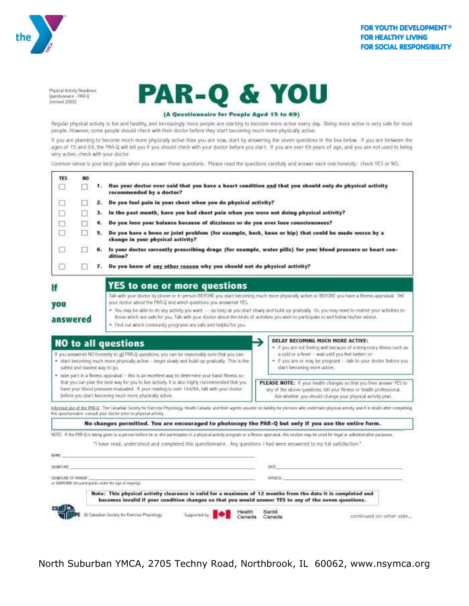

Physical Activity Readness<br>Questionnaire - PAR-Q<br>(revised 2002)

# **PAR-Q & YOU**

#### (A Questionnaire for People Aged 15 to 69)

Regular physical activity is fun and healthy, and increasingly more people are starting to become more active every day. Being more active is very safe for most people. However, some people should check with their doctor before they start becoming much more physically active.

If you are planning to become much more physically active than you are now, start by answering the seven questions in the box below. If you are between the ages of 15 and 69, the PAR-Q will tell you if you should check with your doctor before you start. If you are over 69 years of age, and you are not used to being very active, check with your doctor.

Common sense is your best guide when you answer these questions. Please read the questions carefully and answer each one honestly: check YES or NO.

| YES                                                                                                                                                                                                                                                                                                                                                                                                                                                                    |                                                                                             |                                                                                                                                               |                                                                                                                                                                                                                       |                                                                                                                                                                                                                                                                                                     |  |
|------------------------------------------------------------------------------------------------------------------------------------------------------------------------------------------------------------------------------------------------------------------------------------------------------------------------------------------------------------------------------------------------------------------------------------------------------------------------|---------------------------------------------------------------------------------------------|-----------------------------------------------------------------------------------------------------------------------------------------------|-----------------------------------------------------------------------------------------------------------------------------------------------------------------------------------------------------------------------|-----------------------------------------------------------------------------------------------------------------------------------------------------------------------------------------------------------------------------------------------------------------------------------------------------|--|
|                                                                                                                                                                                                                                                                                                                                                                                                                                                                        |                                                                                             | Has your doctor ever said that you have a heart condition and that you should only do physical activity<br>1.<br>recommended by a doctor?     |                                                                                                                                                                                                                       |                                                                                                                                                                                                                                                                                                     |  |
|                                                                                                                                                                                                                                                                                                                                                                                                                                                                        | Do you feel pain in your chest when you do physical activity?<br>2.                         |                                                                                                                                               |                                                                                                                                                                                                                       |                                                                                                                                                                                                                                                                                                     |  |
|                                                                                                                                                                                                                                                                                                                                                                                                                                                                        | In the past month, have you had chest pain when you were not doing physical activity?<br>з. |                                                                                                                                               |                                                                                                                                                                                                                       |                                                                                                                                                                                                                                                                                                     |  |
|                                                                                                                                                                                                                                                                                                                                                                                                                                                                        | Do you lose your balance because of dizziness or do you ever lose consciousness?<br>4.      |                                                                                                                                               |                                                                                                                                                                                                                       |                                                                                                                                                                                                                                                                                                     |  |
| п                                                                                                                                                                                                                                                                                                                                                                                                                                                                      |                                                                                             | 5.<br>Do you have a bone or joint problem (for example, back, knee or hip) that could be made worse by a<br>change in your physical activity? |                                                                                                                                                                                                                       |                                                                                                                                                                                                                                                                                                     |  |
|                                                                                                                                                                                                                                                                                                                                                                                                                                                                        |                                                                                             |                                                                                                                                               | is your doctor currently prescribing drugs (for example, water pills) for your blood pressure or heart con-<br>dition?<br>Do you know of any other reason why you should not do physical activity?                    |                                                                                                                                                                                                                                                                                                     |  |
|                                                                                                                                                                                                                                                                                                                                                                                                                                                                        |                                                                                             | 7.                                                                                                                                            |                                                                                                                                                                                                                       |                                                                                                                                                                                                                                                                                                     |  |
|                                                                                                                                                                                                                                                                                                                                                                                                                                                                        |                                                                                             |                                                                                                                                               | <b>YES to one or more questions</b>                                                                                                                                                                                   |                                                                                                                                                                                                                                                                                                     |  |
| vou                                                                                                                                                                                                                                                                                                                                                                                                                                                                    |                                                                                             |                                                                                                                                               | your doctor about the PAR-Q and which questions you answered YES.                                                                                                                                                     | Talk with your doctor by phone or in person BEFORE you start becoming much more physically active or BEFORE you have a fitness appraisal. Tell                                                                                                                                                      |  |
|                                                                                                                                                                                                                                                                                                                                                                                                                                                                        |                                                                                             |                                                                                                                                               |                                                                                                                                                                                                                       | . You may be able to do any activity you want - as long as you start slowly and build up-gradually. Or, you may need to restrict your activities to                                                                                                                                                 |  |
|                                                                                                                                                                                                                                                                                                                                                                                                                                                                        | answered                                                                                    |                                                                                                                                               | those which are safe for you. Talk with your doctor about the kinds of activities you wish to participate in and follow his/her advice.                                                                               |                                                                                                                                                                                                                                                                                                     |  |
|                                                                                                                                                                                                                                                                                                                                                                                                                                                                        |                                                                                             |                                                                                                                                               | . Find out which community programs are safe and helpful for you.                                                                                                                                                     |                                                                                                                                                                                                                                                                                                     |  |
| <b>NO to all questions</b><br>If you answered NO honestly to all PNR-Q questions, you can be reasonably sure that you can:<br>. start becoming much more physically active -- begin slowly and build up gradually. This is the<br>safest and nasiest way to go.<br>. take part in a fitness appraisal - this is an excellent way to determine your basic fitness so<br>that you can plan the best way for you to live actively. It is also highly recommended that you |                                                                                             |                                                                                                                                               |                                                                                                                                                                                                                       | . If you are not feeling well because of a temporary illness such as<br>a cold or a fever - wait until you feel better; or<br>. If you are or may be pregnant - talk to your doctor before you<br>start becoming more active.<br>PLEASE NOTE: If your health changes so that you then arswer YES to |  |
| have your blood pressure evaluated. If your reading is over 144/94, talk with your doctor<br>before you start becoming much more physically active.                                                                                                                                                                                                                                                                                                                    |                                                                                             |                                                                                                                                               |                                                                                                                                                                                                                       | any of the above questions, tell your fitness or health professional.<br>Ask whether you should change your physical activity plan.                                                                                                                                                                 |  |
|                                                                                                                                                                                                                                                                                                                                                                                                                                                                        |                                                                                             |                                                                                                                                               | this questionnaire, consult your doctor prior to physical activity.                                                                                                                                                   | Informed Use of the PAR-Q: The Canadian Society for Exercise Physiology, Health Canada, and their agents assume no liability for persons who undertake physical activity, and if in doubt after completing                                                                                          |  |
|                                                                                                                                                                                                                                                                                                                                                                                                                                                                        |                                                                                             |                                                                                                                                               | No changes permitted. You are encouraged to photocopy the PAR-Q but only if you use the entire form.                                                                                                                  |                                                                                                                                                                                                                                                                                                     |  |
|                                                                                                                                                                                                                                                                                                                                                                                                                                                                        |                                                                                             |                                                                                                                                               | NOTE: If the PAR-Q is being given to a person before he or she participates in a physical activity program or a fitness apprairal, this section may be used for legal or administrative purposes.                     |                                                                                                                                                                                                                                                                                                     |  |
|                                                                                                                                                                                                                                                                                                                                                                                                                                                                        |                                                                                             |                                                                                                                                               | "I have read, understood and completed this questionnaire. Any questions I had were answered to my full satisfaction."                                                                                                |                                                                                                                                                                                                                                                                                                     |  |
| <b>ILAME</b>                                                                                                                                                                                                                                                                                                                                                                                                                                                           |                                                                                             |                                                                                                                                               |                                                                                                                                                                                                                       |                                                                                                                                                                                                                                                                                                     |  |
| SIGNATURE                                                                                                                                                                                                                                                                                                                                                                                                                                                              |                                                                                             |                                                                                                                                               |                                                                                                                                                                                                                       | DATE:                                                                                                                                                                                                                                                                                               |  |
| SIGNATURE OF PARENT<br>or GUARDMA (for participants under the age of majority).                                                                                                                                                                                                                                                                                                                                                                                        |                                                                                             |                                                                                                                                               |                                                                                                                                                                                                                       | MTNESS.                                                                                                                                                                                                                                                                                             |  |
|                                                                                                                                                                                                                                                                                                                                                                                                                                                                        |                                                                                             |                                                                                                                                               | Note: This physical activity clearance is valid for a maximum of 12 months from the date it is completed and<br>becomes invalid if your condition changes so that you would answer YES to any of the seven questions. |                                                                                                                                                                                                                                                                                                     |  |
|                                                                                                                                                                                                                                                                                                                                                                                                                                                                        |                                                                                             |                                                                                                                                               | Health                                                                                                                                                                                                                | Santé                                                                                                                                                                                                                                                                                               |  |
|                                                                                                                                                                                                                                                                                                                                                                                                                                                                        |                                                                                             |                                                                                                                                               | Supported by<br>@ Canadian Society for Exercise Physiology<br>Canada                                                                                                                                                  | continued on other side<br>Canada                                                                                                                                                                                                                                                                   |  |